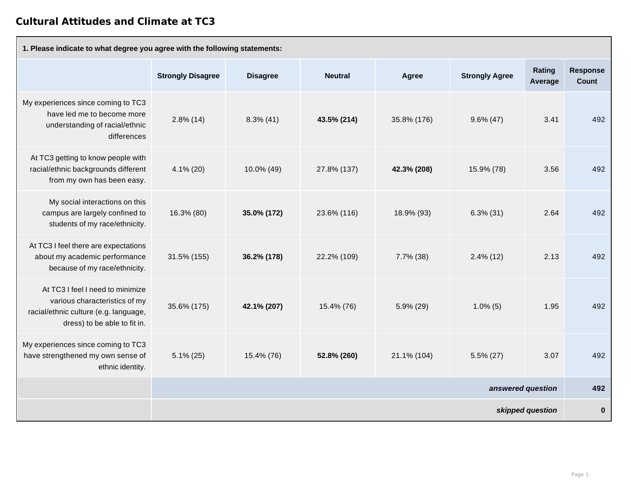## **Cultural Attitudes and Climate at TC3**

| 1. Please indicate to what degree you agree with the following statements:                                                                 |                          |                 |                |              |                       |                          |                          |  |  |
|--------------------------------------------------------------------------------------------------------------------------------------------|--------------------------|-----------------|----------------|--------------|-----------------------|--------------------------|--------------------------|--|--|
|                                                                                                                                            | <b>Strongly Disagree</b> | <b>Disagree</b> | <b>Neutral</b> | <b>Agree</b> | <b>Strongly Agree</b> | <b>Rating</b><br>Average | <b>Response</b><br>Count |  |  |
| My experiences since coming to TC3<br>have led me to become more<br>understanding of racial/ethnic<br>differences                          | $2.8\%$ (14)             | $8.3\%$ (41)    | 43.5% (214)    | 35.8% (176)  | $9.6\% (47)$          | 3.41                     | 492                      |  |  |
| At TC3 getting to know people with<br>racial/ethnic backgrounds different<br>from my own has been easy.                                    | $4.1\%$ (20)             | 10.0% (49)      | 27.8% (137)    | 42.3% (208)  | 15.9% (78)            | 3.56                     | 492                      |  |  |
| My social interactions on this<br>campus are largely confined to<br>students of my race/ethnicity.                                         | 16.3% (80)               | 35.0% (172)     | 23.6% (116)    | 18.9% (93)   | $6.3\% (31)$          | 2.64                     | 492                      |  |  |
| At TC3 I feel there are expectations<br>about my academic performance<br>because of my race/ethnicity.                                     | 31.5% (155)              | 36.2% (178)     | 22.2% (109)    | $7.7\%$ (38) | $2.4\%$ (12)          | 2.13                     | 492                      |  |  |
| At TC3 I feel I need to minimize<br>various characteristics of my<br>racial/ethnic culture (e.g. language,<br>dress) to be able to fit in. | 35.6% (175)              | 42.1% (207)     | 15.4% (76)     | $5.9\%$ (29) | $1.0\%$ (5)           | 1.95                     | 492                      |  |  |
| My experiences since coming to TC3<br>have strengthened my own sense of<br>ethnic identity.                                                | $5.1\% (25)$             | 15.4% (76)      | 52.8% (260)    | 21.1% (104)  | $5.5\% (27)$          | 3.07                     | 492                      |  |  |
|                                                                                                                                            | answered question        |                 |                |              |                       |                          |                          |  |  |
|                                                                                                                                            | skipped question         |                 |                |              |                       |                          |                          |  |  |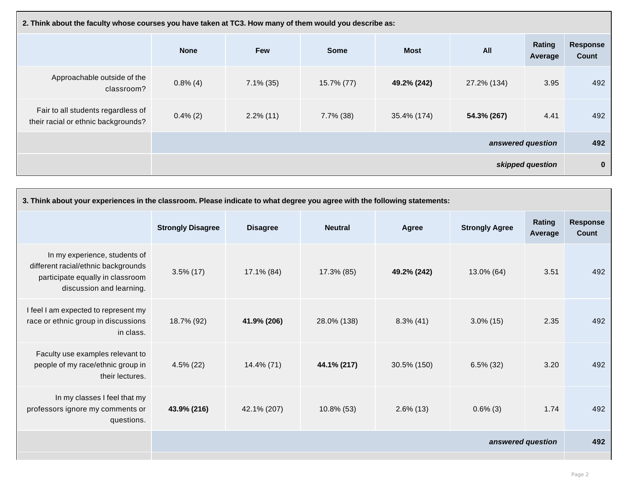| 2. Think about the faculty whose courses you have taken at TC3. How many of them would you describe as: |                   |              |              |             |             |                   |                          |  |
|---------------------------------------------------------------------------------------------------------|-------------------|--------------|--------------|-------------|-------------|-------------------|--------------------------|--|
|                                                                                                         | <b>None</b>       | <b>Few</b>   | <b>Some</b>  | <b>Most</b> | All         | Rating<br>Average | Response<br><b>Count</b> |  |
| Approachable outside of the<br>classroom?                                                               | $0.8\%$ (4)       | $7.1\%$ (35) | 15.7% (77)   | 49.2% (242) | 27.2% (134) | 3.95              | 492                      |  |
| Fair to all students regardless of<br>their racial or ethnic backgrounds?                               | $0.4\%$ (2)       | $2.2\%$ (11) | $7.7\%$ (38) | 35.4% (174) | 54.3% (267) | 4.41              | 492                      |  |
|                                                                                                         | answered question |              |              |             |             |                   |                          |  |
|                                                                                                         | skipped question  |              |              |             |             |                   | $\mathbf 0$              |  |

| 3. Think about your experiences in the classroom. Please indicate to what degree you agree with the following statements:            |                          |                 |                |              |                       |                          |                          |  |
|--------------------------------------------------------------------------------------------------------------------------------------|--------------------------|-----------------|----------------|--------------|-----------------------|--------------------------|--------------------------|--|
|                                                                                                                                      | <b>Strongly Disagree</b> | <b>Disagree</b> | <b>Neutral</b> | Agree        | <b>Strongly Agree</b> | <b>Rating</b><br>Average | <b>Response</b><br>Count |  |
| In my experience, students of<br>different racial/ethnic backgrounds<br>participate equally in classroom<br>discussion and learning. | $3.5\%$ (17)             | 17.1% (84)      | 17.3% (85)     | 49.2% (242)  | 13.0% (64)            | 3.51                     | 492                      |  |
| I feel I am expected to represent my<br>race or ethnic group in discussions<br>in class.                                             | 18.7% (92)               | 41.9% (206)     | 28.0% (138)    | $8.3\%$ (41) | $3.0\%$ (15)          | 2.35                     | 492                      |  |
| Faculty use examples relevant to<br>people of my race/ethnic group in<br>their lectures.                                             | $4.5\%$ (22)             | 14.4% (71)      | 44.1% (217)    | 30.5% (150)  | $6.5\%$ (32)          | 3.20                     | 492                      |  |
| In my classes I feel that my<br>professors ignore my comments or<br>questions.                                                       | 43.9% (216)              | 42.1% (207)     | 10.8% (53)     | $2.6\%$ (13) | $0.6\%$ (3)           | 1.74                     | 492                      |  |
|                                                                                                                                      | answered question        |                 |                |              |                       |                          |                          |  |
|                                                                                                                                      |                          |                 |                |              |                       |                          |                          |  |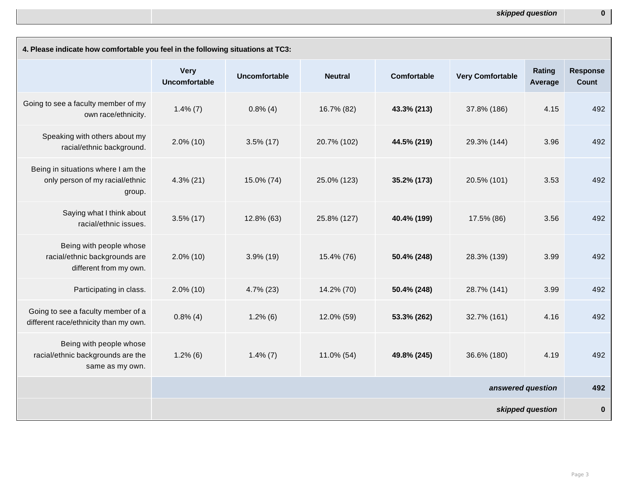| 4. Please indicate how comfortable you feel in the following situations at TC3:    |                                     |                      |                |                    |                         |                          |                                 |  |
|------------------------------------------------------------------------------------|-------------------------------------|----------------------|----------------|--------------------|-------------------------|--------------------------|---------------------------------|--|
|                                                                                    | <b>Very</b><br><b>Uncomfortable</b> | <b>Uncomfortable</b> | <b>Neutral</b> | <b>Comfortable</b> | <b>Very Comfortable</b> | <b>Rating</b><br>Average | <b>Response</b><br><b>Count</b> |  |
| Going to see a faculty member of my<br>own race/ethnicity.                         | $1.4\%$ (7)                         | $0.8\%$ (4)          | 16.7% (82)     | 43.3% (213)        | 37.8% (186)             | 4.15                     | 492                             |  |
| Speaking with others about my<br>racial/ethnic background.                         | $2.0\%$ (10)                        | $3.5\%$ (17)         | 20.7% (102)    | 44.5% (219)        | 29.3% (144)             | 3.96                     | 492                             |  |
| Being in situations where I am the<br>only person of my racial/ethnic<br>group.    | $4.3\%$ (21)                        | 15.0% (74)           | 25.0% (123)    | 35.2% (173)        | 20.5% (101)             | 3.53                     | 492                             |  |
| Saying what I think about<br>racial/ethnic issues.                                 | $3.5\%$ (17)                        | 12.8% (63)           | 25.8% (127)    | 40.4% (199)        | 17.5% (86)              | 3.56                     | 492                             |  |
| Being with people whose<br>racial/ethnic backgrounds are<br>different from my own. | $2.0\%$ (10)                        | $3.9\%$ (19)         | 15.4% (76)     | 50.4% (248)        | 28.3% (139)             | 3.99                     | 492                             |  |
| Participating in class.                                                            | $2.0\%$ (10)                        | $4.7\%$ (23)         | 14.2% (70)     | 50.4% (248)        | 28.7% (141)             | 3.99                     | 492                             |  |
| Going to see a faculty member of a<br>different race/ethnicity than my own.        | $0.8\%$ (4)                         | $1.2\%$ (6)          | 12.0% (59)     | 53.3% (262)        | 32.7% (161)             | 4.16                     | 492                             |  |
| Being with people whose<br>racial/ethnic backgrounds are the<br>same as my own.    | $1.2\%$ (6)                         | $1.4\% (7)$          | $11.0\%$ (54)  | 49.8% (245)        | 36.6% (180)             | 4.19                     | 492                             |  |
|                                                                                    | answered question                   |                      |                |                    |                         |                          | 492                             |  |
|                                                                                    |                                     |                      |                |                    |                         | skipped question         | $\boldsymbol{0}$                |  |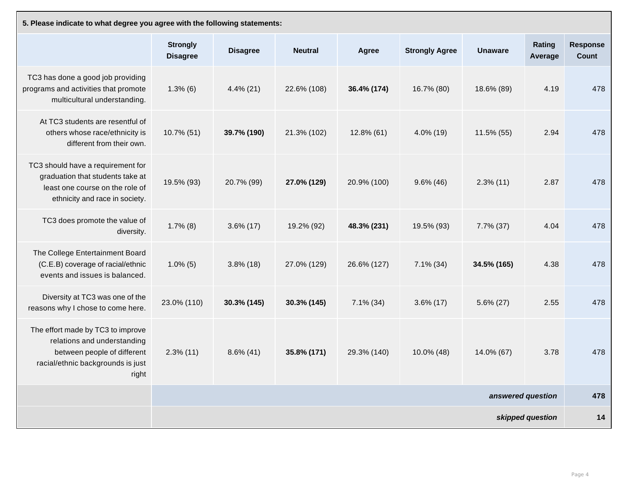| 5. Please indicate to what degree you agree with the following statements:                                                                    |                                    |                 |                |               |                       |                   |                   |                                 |  |
|-----------------------------------------------------------------------------------------------------------------------------------------------|------------------------------------|-----------------|----------------|---------------|-----------------------|-------------------|-------------------|---------------------------------|--|
|                                                                                                                                               | <b>Strongly</b><br><b>Disagree</b> | <b>Disagree</b> | <b>Neutral</b> | <b>Agree</b>  | <b>Strongly Agree</b> | <b>Unaware</b>    | Rating<br>Average | <b>Response</b><br><b>Count</b> |  |
| TC3 has done a good job providing<br>programs and activities that promote<br>multicultural understanding.                                     | $1.3\%$ (6)                        | $4.4\%$ (21)    | 22.6% (108)    | 36.4% (174)   | 16.7% (80)            | 18.6% (89)        | 4.19              | 478                             |  |
| At TC3 students are resentful of<br>others whose race/ethnicity is<br>different from their own.                                               | 10.7% (51)                         | 39.7% (190)     | 21.3% (102)    | $12.8\%$ (61) | $4.0\%$ (19)          | 11.5% (55)        | 2.94              | 478                             |  |
| TC3 should have a requirement for<br>graduation that students take at<br>least one course on the role of<br>ethnicity and race in society.    | 19.5% (93)                         | 20.7% (99)      | 27.0% (129)    | 20.9% (100)   | $9.6\%$ (46)          | $2.3\%$ (11)      | 2.87              | 478                             |  |
| TC3 does promote the value of<br>diversity.                                                                                                   | $1.7\%$ (8)                        | $3.6\% (17)$    | 19.2% (92)     | 48.3% (231)   | 19.5% (93)            | $7.7\%$ (37)      | 4.04              | 478                             |  |
| The College Entertainment Board<br>(C.E.B) coverage of racial/ethnic<br>events and issues is balanced.                                        | $1.0\%$ (5)                        | $3.8\%$ (18)    | 27.0% (129)    | 26.6% (127)   | $7.1\%$ (34)          | 34.5% (165)       | 4.38              | 478                             |  |
| Diversity at TC3 was one of the<br>reasons why I chose to come here.                                                                          | 23.0% (110)                        | 30.3% (145)     | 30.3% (145)    | $7.1\%$ (34)  | $3.6\% (17)$          | $5.6\% (27)$      | 2.55              | 478                             |  |
| The effort made by TC3 to improve<br>relations and understanding<br>between people of different<br>racial/ethnic backgrounds is just<br>right | $2.3\%$ (11)                       | $8.6\%$ (41)    | 35.8% (171)    | 29.3% (140)   | $10.0\%$ (48)         | 14.0% (67)        | 3.78              | 478                             |  |
|                                                                                                                                               |                                    |                 |                |               |                       | answered question |                   | 478                             |  |
|                                                                                                                                               |                                    |                 |                |               |                       |                   | skipped question  | 14                              |  |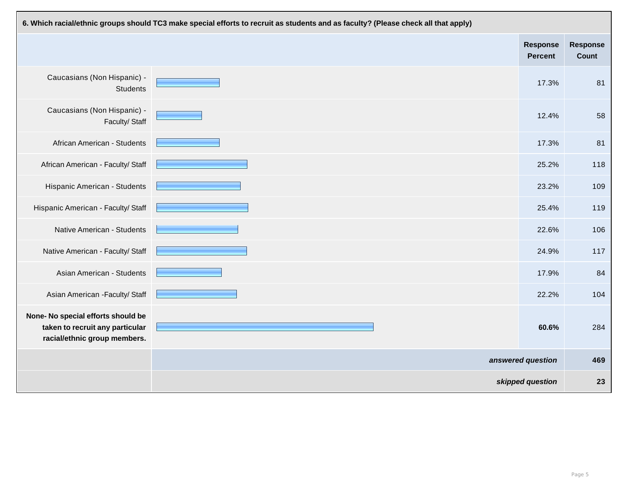| 6. Which racial/ethnic groups should TC3 make special efforts to recruit as students and as faculty? (Please check all that apply) |  |                                   |                          |  |  |  |  |  |
|------------------------------------------------------------------------------------------------------------------------------------|--|-----------------------------------|--------------------------|--|--|--|--|--|
|                                                                                                                                    |  | <b>Response</b><br><b>Percent</b> | <b>Response</b><br>Count |  |  |  |  |  |
| Caucasians (Non Hispanic) -<br><b>Students</b>                                                                                     |  | 17.3%                             | 81                       |  |  |  |  |  |
| Caucasians (Non Hispanic) -<br>Faculty/Staff                                                                                       |  | 12.4%                             | 58                       |  |  |  |  |  |
| <b>African American - Students</b>                                                                                                 |  | 17.3%                             | 81                       |  |  |  |  |  |
| African American - Faculty/ Staff                                                                                                  |  | 25.2%                             | 118                      |  |  |  |  |  |
| Hispanic American - Students                                                                                                       |  | 23.2%                             | 109                      |  |  |  |  |  |
| Hispanic American - Faculty/ Staff                                                                                                 |  | 25.4%                             | 119                      |  |  |  |  |  |
| <b>Native American - Students</b>                                                                                                  |  | 22.6%                             | 106                      |  |  |  |  |  |
| Native American - Faculty/ Staff                                                                                                   |  | 24.9%                             | 117                      |  |  |  |  |  |
| <b>Asian American - Students</b>                                                                                                   |  | 17.9%                             | 84                       |  |  |  |  |  |
| Asian American - Faculty/ Staff                                                                                                    |  | 22.2%                             | 104                      |  |  |  |  |  |
| None- No special efforts should be<br>taken to recruit any particular<br>racial/ethnic group members.                              |  | 60.6%                             | 284                      |  |  |  |  |  |
|                                                                                                                                    |  | answered question                 | 469                      |  |  |  |  |  |
|                                                                                                                                    |  | skipped question                  | 23                       |  |  |  |  |  |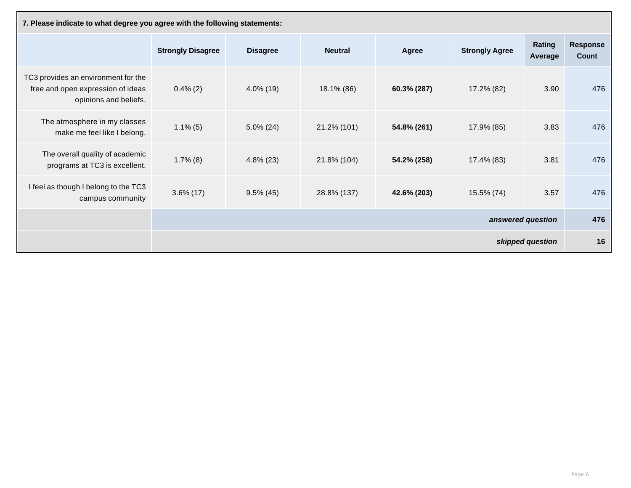| 7. Please indicate to what degree you agree with the following statements:                        |                          |                 |                |              |                       |                   |                                 |  |
|---------------------------------------------------------------------------------------------------|--------------------------|-----------------|----------------|--------------|-----------------------|-------------------|---------------------------------|--|
|                                                                                                   | <b>Strongly Disagree</b> | <b>Disagree</b> | <b>Neutral</b> | <b>Agree</b> | <b>Strongly Agree</b> | Rating<br>Average | <b>Response</b><br><b>Count</b> |  |
| TC3 provides an environment for the<br>free and open expression of ideas<br>opinions and beliefs. | $0.4\%$ (2)              | $4.0\%$ (19)    | 18.1% (86)     | 60.3% (287)  | 17.2% (82)            | 3.90              | 476                             |  |
| The atmosphere in my classes<br>make me feel like I belong.                                       | $1.1\%$ (5)              | $5.0\% (24)$    | 21.2% (101)    | 54.8% (261)  | 17.9% (85)            | 3.83              | 476                             |  |
| The overall quality of academic<br>programs at TC3 is excellent.                                  | $1.7\%$ (8)              | $4.8\%$ (23)    | 21.8% (104)    | 54.2% (258)  | 17.4% (83)            | 3.81              | 476                             |  |
| I feel as though I belong to the TC3<br>campus community                                          | $3.6\%$ (17)             | $9.5\%$ (45)    | 28.8% (137)    | 42.6% (203)  | 15.5% (74)            | 3.57              | 476                             |  |
|                                                                                                   | answered question        |                 |                |              |                       |                   | 476                             |  |
|                                                                                                   | skipped question         |                 |                |              |                       |                   | 16                              |  |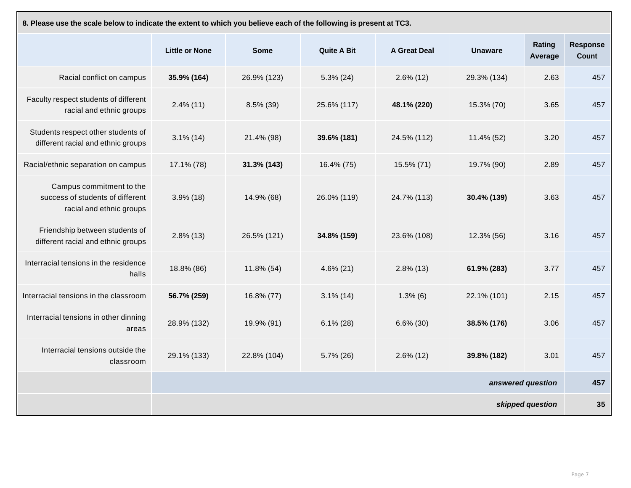| 8. Please use the scale below to indicate the extent to which you believe each of the following is present at TC3. |                       |                |                    |                     |                   |                          |                          |  |
|--------------------------------------------------------------------------------------------------------------------|-----------------------|----------------|--------------------|---------------------|-------------------|--------------------------|--------------------------|--|
|                                                                                                                    | <b>Little or None</b> | <b>Some</b>    | <b>Quite A Bit</b> | <b>A Great Deal</b> | <b>Unaware</b>    | <b>Rating</b><br>Average | <b>Response</b><br>Count |  |
| Racial conflict on campus                                                                                          | 35.9% (164)           | 26.9% (123)    | $5.3\%$ (24)       | $2.6\%$ (12)        | 29.3% (134)       | 2.63                     | 457                      |  |
| Faculty respect students of different<br>racial and ethnic groups                                                  | $2.4\%$ (11)          | $8.5\%$ (39)   | 25.6% (117)        | 48.1% (220)         | 15.3% (70)        | 3.65                     | 457                      |  |
| Students respect other students of<br>different racial and ethnic groups                                           | $3.1\%$ (14)          | 21.4% (98)     | 39.6% (181)        | 24.5% (112)         | 11.4% (52)        | 3.20                     | 457                      |  |
| Racial/ethnic separation on campus                                                                                 | 17.1% (78)            | $31.3\%$ (143) | 16.4% (75)         | 15.5% (71)          | 19.7% (90)        | 2.89                     | 457                      |  |
| Campus commitment to the<br>success of students of different<br>racial and ethnic groups                           | $3.9\%$ (18)          | 14.9% (68)     | 26.0% (119)        | 24.7% (113)         | 30.4% (139)       | 3.63                     | 457                      |  |
| Friendship between students of<br>different racial and ethnic groups                                               | $2.8\%$ (13)          | 26.5% (121)    | 34.8% (159)        | 23.6% (108)         | 12.3% (56)        | 3.16                     | 457                      |  |
| Interracial tensions in the residence<br>halls                                                                     | 18.8% (86)            | 11.8% (54)     | $4.6\%$ (21)       | $2.8\%$ (13)        | 61.9% (283)       | 3.77                     | 457                      |  |
| Interracial tensions in the classroom                                                                              | 56.7% (259)           | 16.8% (77)     | $3.1\%$ (14)       | $1.3\%$ (6)         | 22.1% (101)       | 2.15                     | 457                      |  |
| Interracial tensions in other dinning<br>areas                                                                     | 28.9% (132)           | 19.9% (91)     | $6.1\% (28)$       | $6.6\% (30)$        | 38.5% (176)       | 3.06                     | 457                      |  |
| Interracial tensions outside the<br>classroom                                                                      | 29.1% (133)           | 22.8% (104)    | $5.7\%$ (26)       | $2.6\%$ (12)        | 39.8% (182)       | 3.01                     | 457                      |  |
|                                                                                                                    |                       |                |                    |                     | answered question |                          | 457                      |  |
|                                                                                                                    |                       |                |                    |                     |                   | skipped question         | 35                       |  |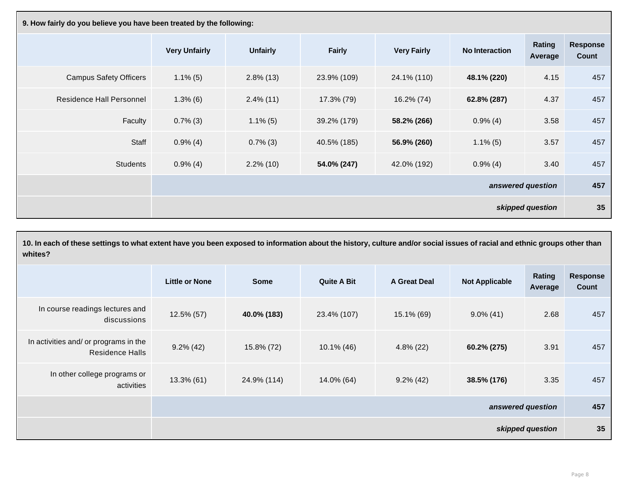| 9. How fairly do you believe you have been treated by the following: |                      |                 |               |                    |                       |                   |                          |  |
|----------------------------------------------------------------------|----------------------|-----------------|---------------|--------------------|-----------------------|-------------------|--------------------------|--|
|                                                                      | <b>Very Unfairly</b> | <b>Unfairly</b> | <b>Fairly</b> | <b>Very Fairly</b> | <b>No Interaction</b> | Rating<br>Average | <b>Response</b><br>Count |  |
| <b>Campus Safety Officers</b>                                        | $1.1\%$ (5)          | $2.8\%$ (13)    | 23.9% (109)   | 24.1% (110)        | 48.1% (220)           | 4.15              | 457                      |  |
| <b>Residence Hall Personnel</b>                                      | $1.3\%$ (6)          | $2.4\%$ (11)    | 17.3% (79)    | 16.2% (74)         | 62.8% (287)           | 4.37              | 457                      |  |
| Faculty                                                              | $0.7\%$ (3)          | $1.1\%$ (5)     | 39.2% (179)   | 58.2% (266)        | $0.9\%$ (4)           | 3.58              | 457                      |  |
| Staff                                                                | $0.9\%$ (4)          | $0.7\%$ (3)     | 40.5% (185)   | 56.9% (260)        | $1.1\%$ (5)           | 3.57              | 457                      |  |
| <b>Students</b>                                                      | $0.9\%$ (4)          | $2.2\%$ (10)    | 54.0% (247)   | 42.0% (192)        | $0.9\%$ (4)           | 3.40              | 457                      |  |
|                                                                      | answered question    |                 |               |                    |                       |                   | 457                      |  |
| skipped question                                                     |                      |                 |               |                    |                       | 35                |                          |  |

| 10. In each of these settings to what extent have you been exposed to information about the history, culture and/or social issues of racial and ethnic groups other than<br>whites? |                       |                   |                    |                     |                       |                   |                          |  |
|-------------------------------------------------------------------------------------------------------------------------------------------------------------------------------------|-----------------------|-------------------|--------------------|---------------------|-----------------------|-------------------|--------------------------|--|
|                                                                                                                                                                                     | <b>Little or None</b> | <b>Some</b>       | <b>Quite A Bit</b> | <b>A Great Deal</b> | <b>Not Applicable</b> | Rating<br>Average | <b>Response</b><br>Count |  |
| In course readings lectures and<br>discussions                                                                                                                                      | $12.5\%$ (57)         | 40.0% (183)       | 23.4% (107)        | $15.1\%$ (69)       | $9.0\%$ (41)          | 2.68              | 457                      |  |
| In activities and/ or programs in the<br><b>Residence Halls</b>                                                                                                                     | $9.2\%$ (42)          | 15.8% (72)        | $10.1\%$ (46)      | $4.8\%$ (22)        | 60.2% (275)           | 3.91              | 457                      |  |
| In other college programs or<br>activities                                                                                                                                          | $13.3\%$ (61)         | 24.9% (114)       | 14.0% (64)         | $9.2\%$ (42)        | 38.5% (176)           | 3.35              | 457                      |  |
|                                                                                                                                                                                     |                       | answered question |                    |                     |                       |                   |                          |  |
|                                                                                                                                                                                     |                       | skipped question  |                    |                     |                       |                   |                          |  |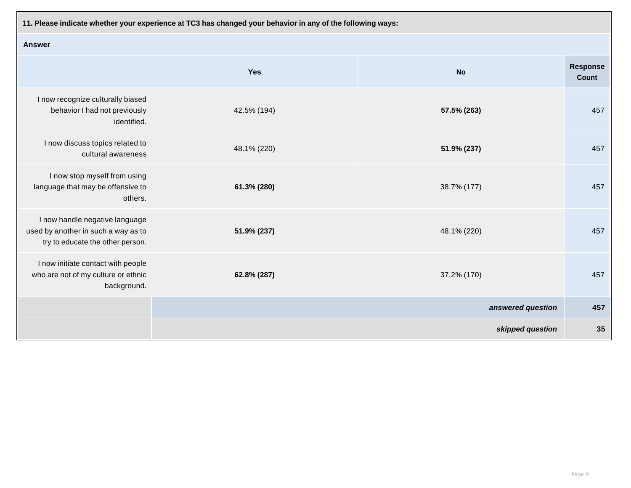**11. Please indicate whether your experience at TC3 has changed your behavior in any of the following ways:**

| <b>Answer</b>                                                                                             |             |                   |                                 |  |  |  |  |  |
|-----------------------------------------------------------------------------------------------------------|-------------|-------------------|---------------------------------|--|--|--|--|--|
|                                                                                                           | <b>Yes</b>  | <b>No</b>         | <b>Response</b><br><b>Count</b> |  |  |  |  |  |
| I now recognize culturally biased<br>behavior I had not previously<br>identified.                         | 42.5% (194) | 57.5% (263)       | 457                             |  |  |  |  |  |
| I now discuss topics related to<br>cultural awareness                                                     | 48.1% (220) | 51.9% (237)       | 457                             |  |  |  |  |  |
| I now stop myself from using<br>language that may be offensive to<br>others.                              | 61.3% (280) | 38.7% (177)       | 457                             |  |  |  |  |  |
| I now handle negative language<br>used by another in such a way as to<br>try to educate the other person. | 51.9% (237) | 48.1% (220)       | 457                             |  |  |  |  |  |
| I now initiate contact with people<br>who are not of my culture or ethnic<br>background.                  | 62.8% (287) | 37.2% (170)       | 457                             |  |  |  |  |  |
|                                                                                                           |             | answered question | 457                             |  |  |  |  |  |
|                                                                                                           |             | skipped question  | 35                              |  |  |  |  |  |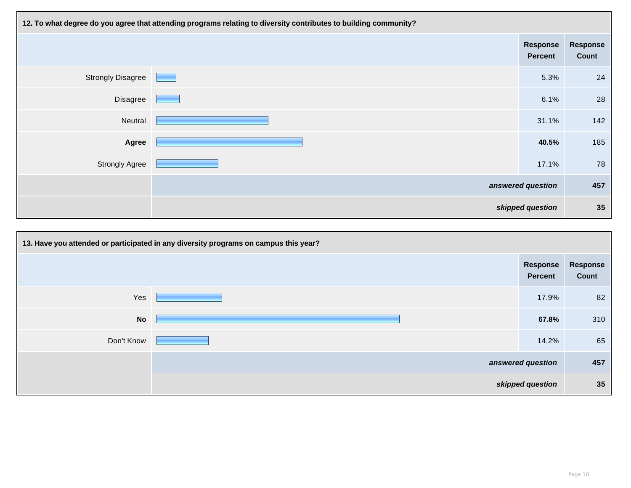| 12. To what degree do you agree that attending programs relating to diversity contributes to building community? |  |                            |                          |  |  |  |  |
|------------------------------------------------------------------------------------------------------------------|--|----------------------------|--------------------------|--|--|--|--|
|                                                                                                                  |  | Response<br><b>Percent</b> | <b>Response</b><br>Count |  |  |  |  |
| <b>Strongly Disagree</b>                                                                                         |  | 5.3%                       | 24                       |  |  |  |  |
| Disagree                                                                                                         |  | 6.1%                       | 28                       |  |  |  |  |
| Neutral                                                                                                          |  | 31.1%                      | 142                      |  |  |  |  |
| Agree                                                                                                            |  | 40.5%                      | 185                      |  |  |  |  |
| <b>Strongly Agree</b>                                                                                            |  | 17.1%                      | 78                       |  |  |  |  |
|                                                                                                                  |  | answered question          | 457                      |  |  |  |  |
|                                                                                                                  |  | skipped question           | 35                       |  |  |  |  |

| 13. Have you attended or participated in any diversity programs on campus this year? |  |                                   |                          |
|--------------------------------------------------------------------------------------|--|-----------------------------------|--------------------------|
|                                                                                      |  | <b>Response</b><br><b>Percent</b> | <b>Response</b><br>Count |
| Yes                                                                                  |  | 17.9%                             | 82                       |
| <b>No</b>                                                                            |  | 67.8%                             | 310                      |
| Don't Know                                                                           |  | 14.2%                             | 65                       |
|                                                                                      |  | answered question                 | 457                      |
|                                                                                      |  | skipped question                  | 35                       |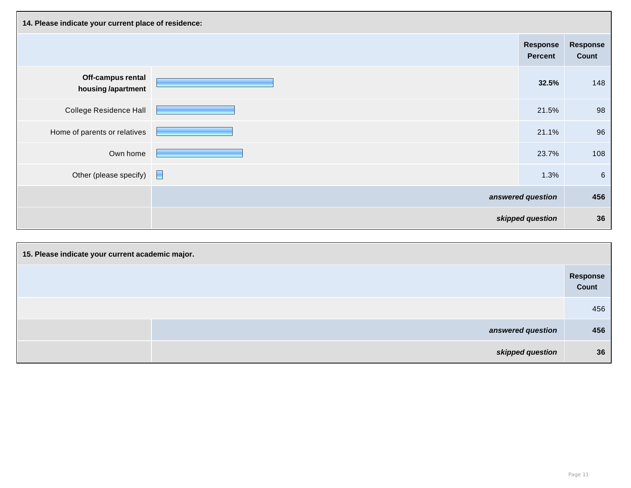| 14. Please indicate your current place of residence: |  |                                   |                   |
|------------------------------------------------------|--|-----------------------------------|-------------------|
|                                                      |  | <b>Response</b><br><b>Percent</b> | Response<br>Count |
| Off-campus rental<br>housing /apartment              |  | 32.5%                             | 148               |
| <b>College Residence Hall</b>                        |  | 21.5%                             | 98                |
| Home of parents or relatives                         |  | 21.1%                             | 96                |
| Own home                                             |  | 23.7%                             | 108               |
| Other (please specify)                               |  | 1.3%                              | $6\phantom{1}6$   |
|                                                      |  | answered question                 | 456               |
|                                                      |  | skipped question                  | 36                |

| 15. Please indicate your current academic major. |                   |  |
|--------------------------------------------------|-------------------|--|
|                                                  | Response<br>Count |  |
|                                                  | 456               |  |
| answered question                                | 456               |  |
| skipped question                                 | 36                |  |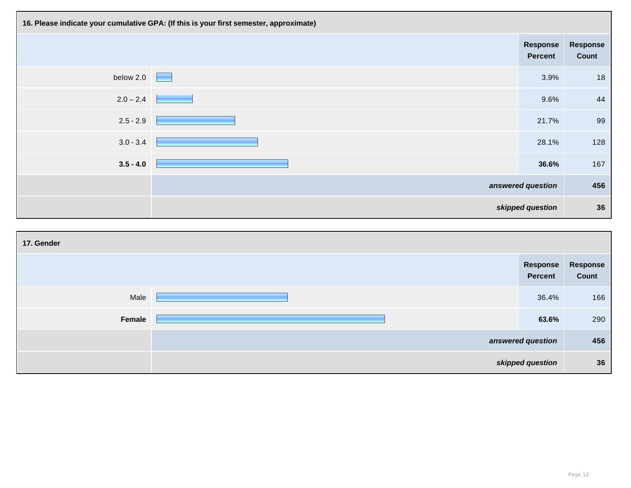| 16. Please indicate your cumulative GPA: (If this is your first semester, approximate) |                                   |                                   |                          |
|----------------------------------------------------------------------------------------|-----------------------------------|-----------------------------------|--------------------------|
|                                                                                        |                                   | <b>Response</b><br><b>Percent</b> | <b>Response</b><br>Count |
| below 2.0                                                                              | <b>Contract Contract Contract</b> | 3.9%                              | 18                       |
| $2.0 - 2.4$                                                                            |                                   | 9.6%                              | 44                       |
| $2.5 - 2.9$                                                                            |                                   | 21.7%                             | 99                       |
| $3.0 - 3.4$                                                                            |                                   | 28.1%                             | 128                      |
| $3.5 - 4.0$                                                                            |                                   | 36.6%                             | 167                      |
|                                                                                        | answered question                 |                                   | 456                      |
|                                                                                        | skipped question                  |                                   | 36                       |

| 17. Gender |                  |                            |                   |
|------------|------------------|----------------------------|-------------------|
|            |                  | Response<br><b>Percent</b> | Response<br>Count |
| Male       |                  | 36.4%                      | 166               |
| Female     |                  | 63.6%                      | 290               |
|            |                  | answered question          |                   |
|            | skipped question |                            | 36                |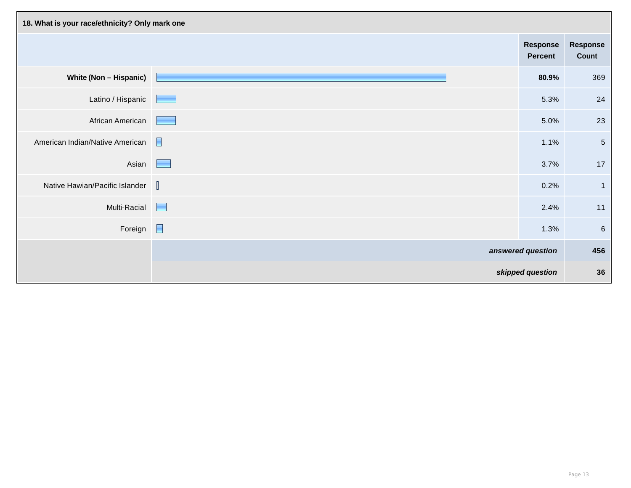| 18. What is your race/ethnicity? Only mark one |   |                                   |                                 |
|------------------------------------------------|---|-----------------------------------|---------------------------------|
|                                                |   | <b>Response</b><br><b>Percent</b> | <b>Response</b><br><b>Count</b> |
| White (Non - Hispanic)                         |   | 80.9%                             | 369                             |
| Latino / Hispanic                              |   | 5.3%                              | 24                              |
| African American                               |   | 5.0%                              | 23                              |
| American Indian/Native American                |   | 1.1%                              | $5\phantom{.0}$                 |
| Asian                                          | ۰ | 3.7%                              | 17                              |
| Native Hawian/Pacific Islander $\ \;\ $        |   | 0.2%                              | $\overline{1}$                  |
| Multi-Racial                                   |   | 2.4%                              | 11                              |
| Foreign $\Box$                                 |   | 1.3%                              | $6\phantom{1}6$                 |
|                                                |   | answered question                 | 456                             |
|                                                |   | skipped question                  | 36                              |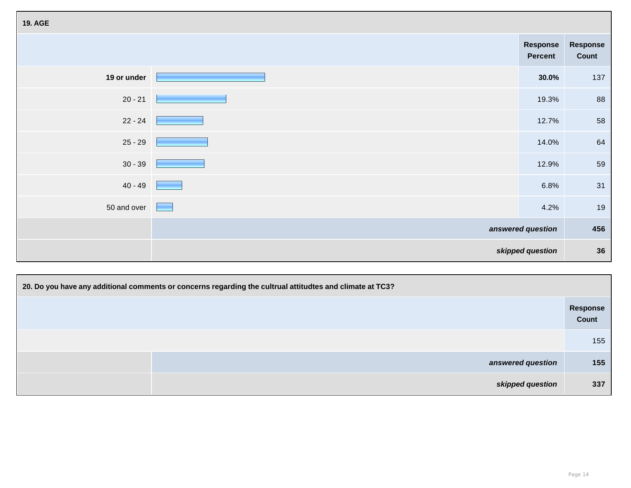| <b>19. AGE</b> |                                   |                                   |                          |
|----------------|-----------------------------------|-----------------------------------|--------------------------|
|                |                                   | <b>Response</b><br><b>Percent</b> | <b>Response</b><br>Count |
| 19 or under    |                                   | 30.0%                             | 137                      |
| $20 - 21$      |                                   | 19.3%                             | 88                       |
| $22 - 24$      | <b>Construction</b>               | 12.7%                             | 58                       |
|                | $25 - 29$                         | 14.0%                             | 64                       |
| $30 - 39$      |                                   | 12.9%                             | 59                       |
| $40 - 49$      |                                   | 6.8%                              | 31                       |
| 50 and over    | <b>Contract Contract Contract</b> | 4.2%                              | 19                       |
|                |                                   | answered question                 | 456                      |
|                | skipped question                  |                                   | 36                       |

| 20. Do you have any additional comments or concerns regarding the cultrual attitudtes and climate at TC3? |                   |                                 |
|-----------------------------------------------------------------------------------------------------------|-------------------|---------------------------------|
|                                                                                                           |                   | <b>Response</b><br><b>Count</b> |
|                                                                                                           |                   | 155                             |
|                                                                                                           | answered question | 155                             |
|                                                                                                           | skipped question  | 337                             |